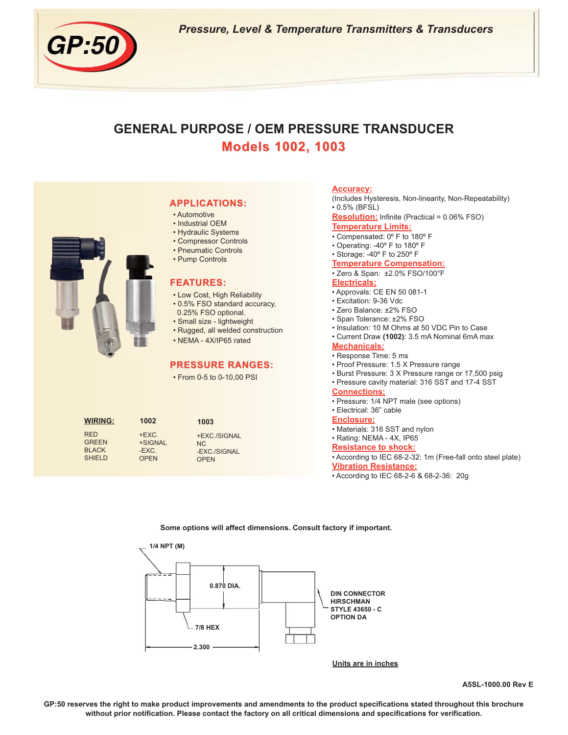

*Pressure, Level & Temperature Transmitters & Transducers*

# **GENERAL PURPOSE / OEM PRESSURE TRANSDUCER Models 1002, 1003 Models 1002, 1003**

|                                                             |                                                | <b>APPLICATIONS:</b><br>• Automotive<br>• Industrial OEM<br>• Hydraulic Systems<br>• Compressor Controls<br>• Pneumatic Controls<br>• Pump Controls<br><b>FEATURES:</b><br>• Low Cost, High Reliability<br>• 0.5% FSO standard accuracy,<br>0.25% FSO optional.<br>· Small size - lightweight<br>• Rugged, all welded construction<br>• NEMA - 4X/IP65 rated<br><b>PRESSURE RANGES:</b><br>• From 0-5 to 0-10,00 PSI | <b>Accuracy:</b><br>(Includes Hysteresis, Non-linearity, Non-Repeatability)<br>$0.5\%$ (BFSL)<br><b>Resolution:</b> Infinite (Practical = 0.06% FSO)<br><b>Temperature Limits:</b><br>• Compensated: 0° F to 180° F<br>• Operating: -40° F to 180° F<br>• Storage: -40° F to 250° F<br><b>Temperature Compensation:</b><br>· Zero & Span: ±2.0% FSO/100°F<br><b>Electricals:</b><br>• Approvals: CE EN 50 081-1<br>• Excitation: 9-36 Vdc<br>· Zero Balance: ±2% FSO<br>· Span Tolerance: ±2% FSO<br>• Insulation: 10 M Ohms at 50 VDC Pin to Case<br>• Current Draw (1002): 3.5 mA Nominal 6mA max<br><b>Mechanicals:</b><br>• Response Time: 5 ms<br>• Proof Pressure: 1.5 X Pressure range<br>• Burst Pressure: 3 X Pressure range or 17,500 psig<br>• Pressure cavity material: 316 SST and 17-4 SST<br><b>Connections:</b><br>• Pressure: 1/4 NPT male (see options)<br>• Electrical: 36" cable |
|-------------------------------------------------------------|------------------------------------------------|----------------------------------------------------------------------------------------------------------------------------------------------------------------------------------------------------------------------------------------------------------------------------------------------------------------------------------------------------------------------------------------------------------------------|------------------------------------------------------------------------------------------------------------------------------------------------------------------------------------------------------------------------------------------------------------------------------------------------------------------------------------------------------------------------------------------------------------------------------------------------------------------------------------------------------------------------------------------------------------------------------------------------------------------------------------------------------------------------------------------------------------------------------------------------------------------------------------------------------------------------------------------------------------------------------------------------------|
| <b>WIRING:</b>                                              | 1002                                           | 1003                                                                                                                                                                                                                                                                                                                                                                                                                 | <b>Enclosure:</b>                                                                                                                                                                                                                                                                                                                                                                                                                                                                                                                                                                                                                                                                                                                                                                                                                                                                                    |
| <b>RED</b><br><b>GREEN</b><br><b>BLACK</b><br><b>SHIELD</b> | $+EXC$ .<br>+SIGNAL<br>$-EXC$ .<br><b>OPEN</b> | +EXC./SIGNAL<br>NC<br>-EXC./SIGNAL<br><b>OPEN</b>                                                                                                                                                                                                                                                                                                                                                                    | • Materials: 316 SST and nylon<br>· Rating: NEMA - 4X, IP65<br><b>Resistance to shock:</b><br>• According to IEC 68-2-32: 1m (Free-fall onto steel plate)<br><b>Vibration Resistance:</b><br>• According to IEC 68-2-6 & 68-2-36: 20g                                                                                                                                                                                                                                                                                                                                                                                                                                                                                                                                                                                                                                                                |
|                                                             |                                                |                                                                                                                                                                                                                                                                                                                                                                                                                      |                                                                                                                                                                                                                                                                                                                                                                                                                                                                                                                                                                                                                                                                                                                                                                                                                                                                                                      |

#### **Some options will affect dimensions. Consult factory if important.**



**Units are in inches**

**A5SL-1000.00 Rev E**

**GP:50 reserves the right to make product improvements and amendments to the product specifications stated throughout this brochure without prior notification. Please contact the factory on all critical dimensions and specifications for verification.**